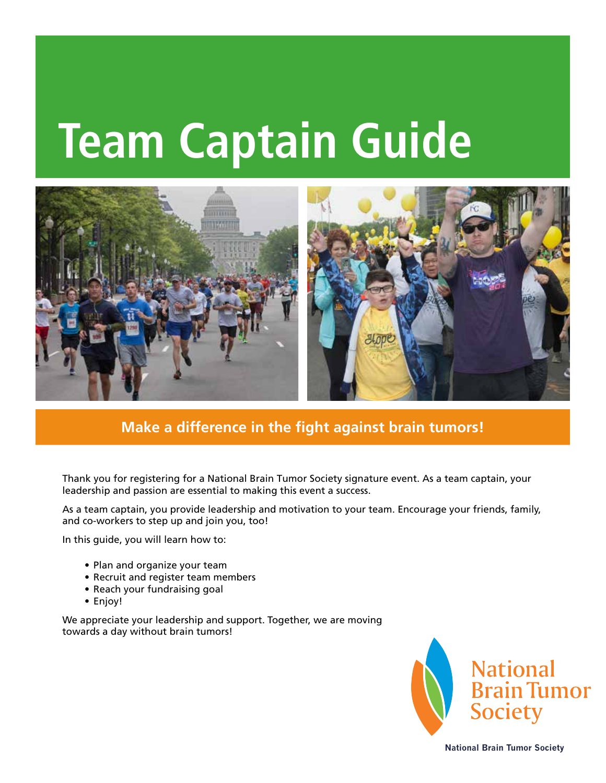# **Team Captain Guide**



**Make a difference in the fight against brain tumors!**

Thank you for registering for a National Brain Tumor Society signature event. As a team captain, your leadership and passion are essential to making this event a success.

As a team captain, you provide leadership and motivation to your team. Encourage your friends, family, and co-workers to step up and join you, too!

In this guide, you will learn how to:

- Plan and organize your team
- Recruit and register team members
- Reach your fundraising goal
- Enjoy!

We appreciate your leadership and support. Together, we are moving towards a day without brain tumors!



**National Brain Tumor Society**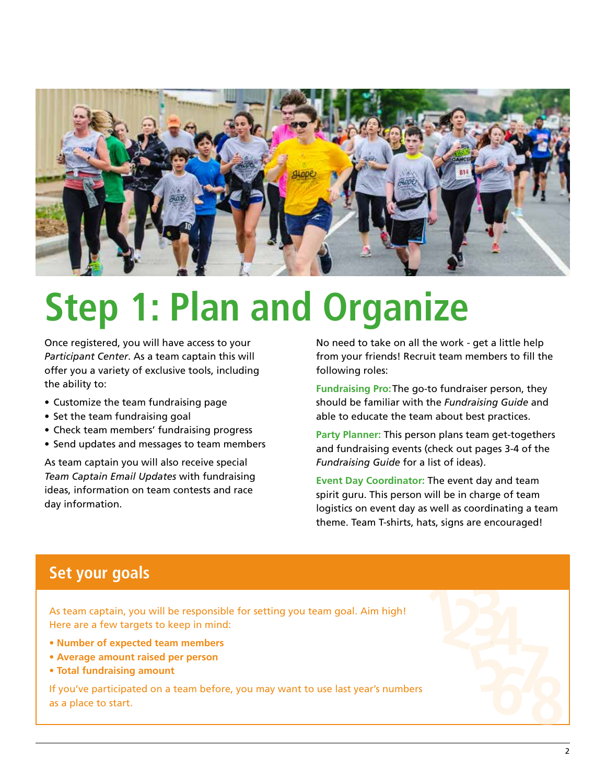

### **Step 1: Plan and Organize**

Once registered, you will have access to your *Participant Center*. As a team captain this will offer you a variety of exclusive tools, including the ability to:

- Customize the team fundraising page
- Set the team fundraising goal
- Check team members' fundraising progress
- Send updates and messages to team members

As team captain you will also receive special *Team Captain Email Updates* with fundraising ideas, information on team contests and race day information.

No need to take on all the work - get a little help from your friends! Recruit team members to fill the following roles:

**Fundraising Pro:** The go-to fundraiser person, they should be familiar with the *Fundraising Guide* and able to educate the team about best practices.

**Party Planner:** This person plans team get-togethers and fundraising events (check out pages 3-4 of the *Fundraising Guide* for a list of ideas).

**Event Day Coordinator:** The event day and team spirit guru. This person will be in charge of team logistics on event day as well as coordinating a team theme. Team T-shirts, hats, signs are encouraged!

#### **Set your goals**

As team captain, you will be responsible for setting you team goal. Aim high! Here are a few targets to keep in mind:

- **Number of expected team members**
- **Average amount raised per person**
- **Total fundraising amount**

If you've participated on a team before, you may want to use last year's numbers as a place to start.

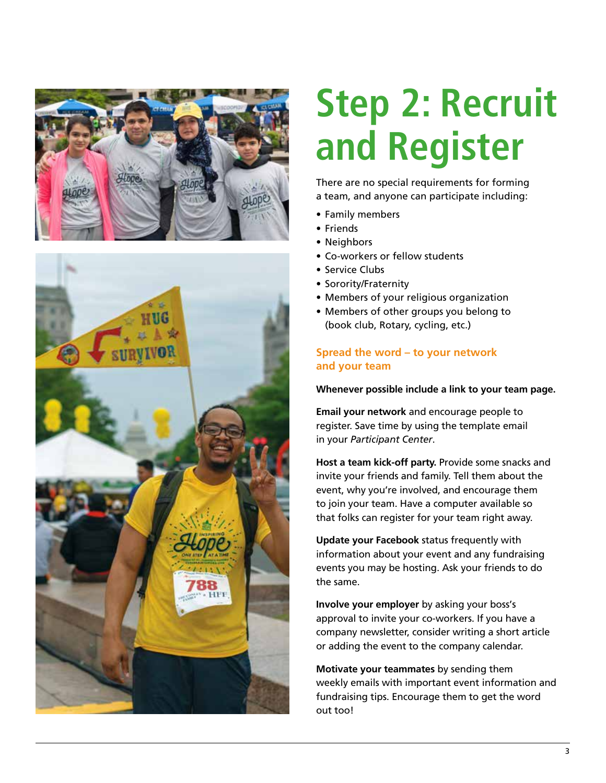



## **Step 2: Recruit and Register**

There are no special requirements for forming a team, and anyone can participate including:

- Family members
- Friends
	- Neighbors
	- Co-workers or fellow students
	- Service Clubs
	- Sorority/Fraternity
	- Members of your religious organization
	- Members of other groups you belong to (book club, Rotary, cycling, etc.)

#### **Spread the word – to your network and your team**

#### **Whenever possible include a link to your team page.**

**Email your network** and encourage people to register. Save time by using the template email in your *Participant Center*.

**Host a team kick-off party.** Provide some snacks and invite your friends and family. Tell them about the event, why you're involved, and encourage them to join your team. Have a computer available so that folks can register for your team right away.

**Update your Facebook** status frequently with information about your event and any fundraising events you may be hosting. Ask your friends to do the same.

**Involve your employer** by asking your boss's approval to invite your co-workers. If you have a company newsletter, consider writing a short article or adding the event to the company calendar.

**Motivate your teammates** by sending them weekly emails with important event information and fundraising tips. Encourage them to get the word out too!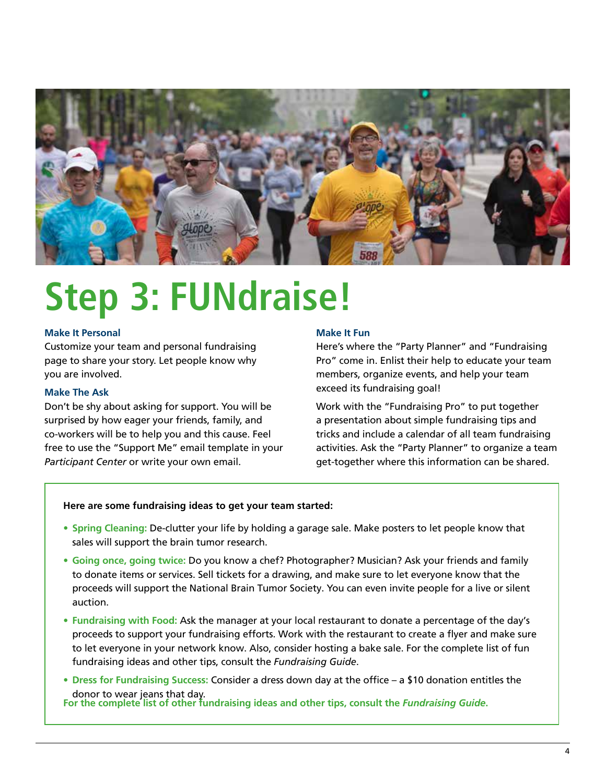

### **Step 3: FUNdraise!**

#### **Make It Personal**

Customize your team and personal fundraising page to share your story. Let people know why you are involved.

#### **Make The Ask**

Don't be shy about asking for support. You will be surprised by how eager your friends, family, and co-workers will be to help you and this cause. Feel free to use the "Support Me" email template in your *Participant Center* or write your own email.

#### **Make It Fun**

Here's where the "Party Planner" and "Fundraising Pro" come in. Enlist their help to educate your team members, organize events, and help your team exceed its fundraising goal!

Work with the "Fundraising Pro" to put together a presentation about simple fundraising tips and tricks and include a calendar of all team fundraising activities. Ask the "Party Planner" to organize a team get-together where this information can be shared.

#### **Here are some fundraising ideas to get your team started:**

- **Spring Cleaning:** De-clutter your life by holding a garage sale. Make posters to let people know that sales will support the brain tumor research.
- **Going once, going twice:** Do you know a chef? Photographer? Musician? Ask your friends and family to donate items or services. Sell tickets for a drawing, and make sure to let everyone know that the proceeds will support the National Brain Tumor Society. You can even invite people for a live or silent auction.
- **Fundraising with Food:** Ask the manager at your local restaurant to donate a percentage of the day's proceeds to support your fundraising efforts. Work with the restaurant to create a flyer and make sure to let everyone in your network know. Also, consider hosting a bake sale. For the complete list of fun fundraising ideas and other tips, consult the *Fundraising Guide*.
- **Dress for Fundraising Success:** Consider a dress down day at the office a \$10 donation entitles the donor to wear jeans that day. **For the complete list of other fundraising ideas and other tips, consult the** *Fundraising Guide***.**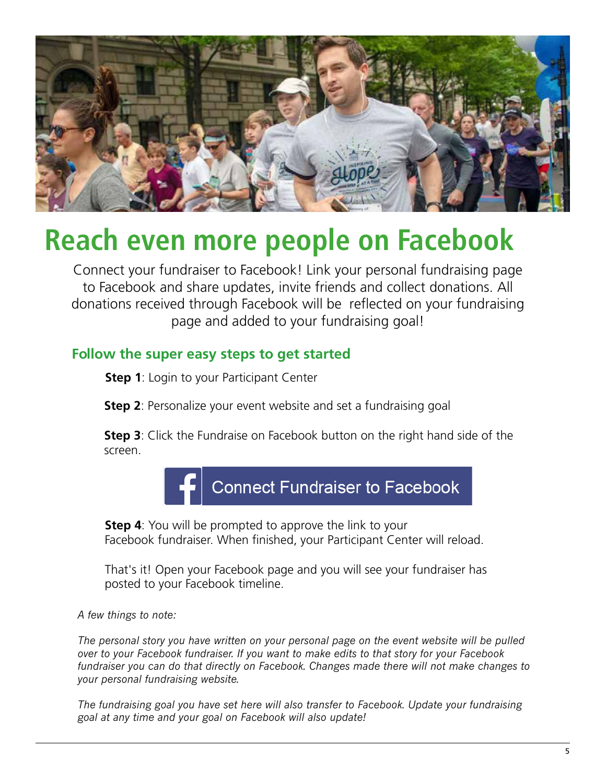

### **Reach even more people on Facebook**

Connect your fundraiser to Facebook! Link your personal fundraising page to Facebook and share updates, invite friends and collect donations. All donations received through Facebook will be reflected on your fundraising page and added to your fundraising goal!

#### **Follow the super easy steps to get started**

**Step 1**: Login to your Participant Center

**Step 2**: Personalize your event website and set a fundraising goal

**Step 3**: Click the Fundraise on Facebook button on the right hand side of the screen.



**Step 4**: You will be prompted to approve the link to your Facebook fundraiser. When finished, your Participant Center will reload.

That's it! Open your Facebook page and you will see your fundraiser has posted to your Facebook timeline.

#### *A few things to note:*

*The personal story you have written on your personal page on the event website will be pulled over to your Facebook fundraiser. If you want to make edits to that story for your Facebook fundraiser you can do that directly on Facebook. Changes made there will not make changes to your personal fundraising website.*

*The fundraising goal you have set here will also transfer to Facebook. Update your fundraising goal at any time and your goal on Facebook will also update!*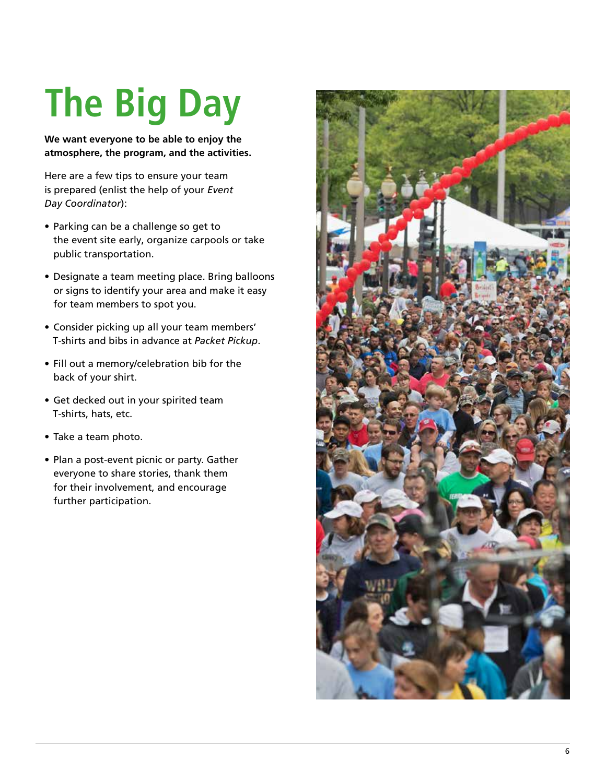# **The Big Day**

**We want everyone to be able to enjoy the atmosphere, the program, and the activities.** 

Here are a few tips to ensure your team is prepared (enlist the help of your *Event Day Coordinator*):

- Parking can be a challenge so get to the event site early, organize carpools or take public transportation.
- Designate a team meeting place. Bring balloons or signs to identify your area and make it easy for team members to spot you.
- Consider picking up all your team members' T-shirts and bibs in advance at *Packet Pickup*.
- Fill out a memory/celebration bib for the back of your shirt.
- Get decked out in your spirited team T-shirts, hats, etc.
- Take a team photo.
- Plan a post-event picnic or party. Gather everyone to share stories, thank them for their involvement, and encourage further participation.

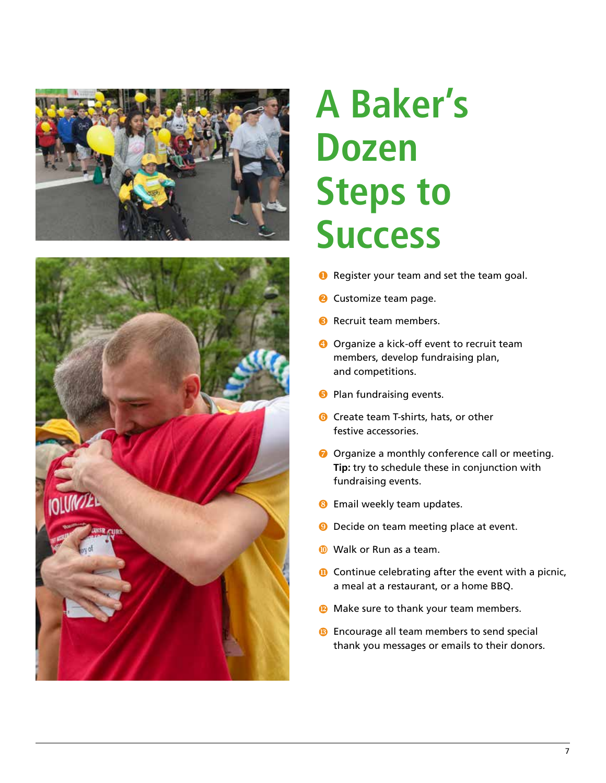



### **A Baker's Dozen Steps to Success**

- **O** Register your team and set the team goal.
- **2** Customize team page.
- **B** Recruit team members.
- **O** Organize a kick-off event to recruit team members, develop fundraising plan, and competitions.
- **B** Plan fundraising events.
- **G** Create team T-shirts, hats, or other festive accessories.
- O Organize a monthly conference call or meeting. **Tip:** try to schedule these in conjunction with fundraising events.
- **B** Email weekly team updates.
- **D** Decide on team meeting place at event.
- **Walk or Run as a team.**
- **O** Continue celebrating after the event with a picnic, a meal at a restaurant, or a home BBQ.
- **Make sure to thank your team members.**
- **B** Encourage all team members to send special thank you messages or emails to their donors.